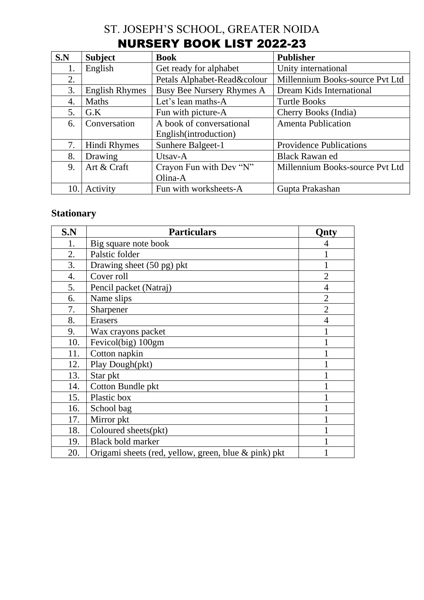## ST. JOSEPH'S SCHOOL, GREATER NOIDA NURSERY BOOK LIST 2022-23

| S.N | <b>Subject</b>        | <b>Book</b>                 | <b>Publisher</b>                |
|-----|-----------------------|-----------------------------|---------------------------------|
| 1.  | English               | Get ready for alphabet      | Unity international             |
| 2.  |                       | Petals Alphabet-Read&colour | Millennium Books-source Pvt Ltd |
| 3.  | <b>English Rhymes</b> | Busy Bee Nursery Rhymes A   | Dream Kids International        |
| 4.  | <b>Maths</b>          | Let's lean maths-A          | <b>Turtle Books</b>             |
| 5.  | G.K                   | Fun with picture-A          | Cherry Books (India)            |
| 6.  | Conversation          | A book of conversational    | <b>Amenta Publication</b>       |
|     |                       | English(introduction)       |                                 |
| 7.  | Hindi Rhymes          | Sunhere Balgeet-1           | <b>Providence Publications</b>  |
| 8.  | Drawing               | Utsav-A                     | <b>Black Rawan ed</b>           |
| 9.  | Art & Craft           | Crayon Fun with Dev "N"     | Millennium Books-source Pvt Ltd |
|     |                       | Olina-A                     |                                 |
| 10. | Activity              | Fun with worksheets-A       | Gupta Prakashan                 |

#### **Stationary**

| S.N | <b>Particulars</b>                                   | <b>Onty</b>    |
|-----|------------------------------------------------------|----------------|
| 1.  | Big square note book                                 |                |
| 2.  | Palstic folder                                       |                |
| 3.  | Drawing sheet (50 pg) pkt                            |                |
| 4.  | Cover roll                                           | $\overline{2}$ |
| 5.  | Pencil packet (Natraj)                               | $\overline{4}$ |
| 6.  | Name slips                                           | $\overline{2}$ |
| 7.  | Sharpener                                            | $\overline{2}$ |
| 8.  | <b>Erasers</b>                                       | $\overline{4}$ |
| 9.  | Wax crayons packet                                   |                |
| 10. | Fevicol(big) 100gm                                   |                |
| 11. | Cotton napkin                                        |                |
| 12. | Play Dough(pkt)                                      |                |
| 13. | Star pkt                                             |                |
| 14. | Cotton Bundle pkt                                    |                |
| 15. | Plastic box                                          |                |
| 16. | School bag                                           |                |
| 17. | Mirror pkt                                           |                |
| 18. | Coloured sheets(pkt)                                 |                |
| 19. | <b>Black bold marker</b>                             |                |
| 20. | Origami sheets (red, yellow, green, blue & pink) pkt |                |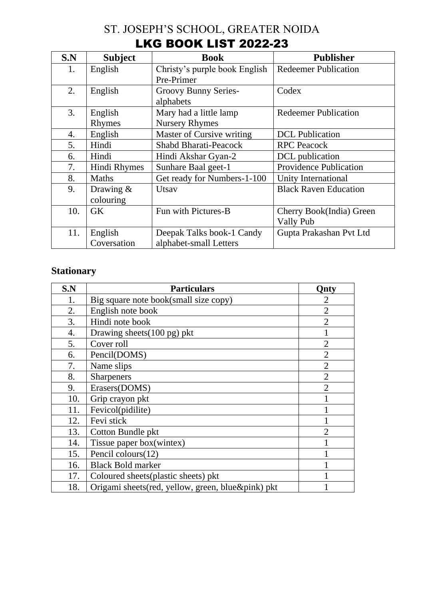# ST. JOSEPH'S SCHOOL, GREATER NOIDA LKG BOOK LIST 2022-23

| S.N | <b>Subject</b> | <b>Book</b>                   | <b>Publisher</b>              |
|-----|----------------|-------------------------------|-------------------------------|
| 1.  | English        | Christy's purple book English | <b>Redeemer Publication</b>   |
|     |                | Pre-Primer                    |                               |
| 2.  | English        | Groovy Bunny Series-          | Codex                         |
|     |                | alphabets                     |                               |
| 3.  | English        | Mary had a little lamp        | <b>Redeemer Publication</b>   |
|     | Rhymes         | <b>Nursery Rhymes</b>         |                               |
| 4.  | English        | Master of Cursive writing     | <b>DCL</b> Publication        |
| 5.  | Hindi          | <b>Shabd Bharati-Peacock</b>  | <b>RPC</b> Peacock            |
| 6.  | Hindi          | Hindi Akshar Gyan-2           | DCL publication               |
| 7.  | Hindi Rhymes   | Sunhare Baal geet-1           | <b>Providence Publication</b> |
| 8.  | <b>Maths</b>   | Get ready for Numbers-1-100   | Unity International           |
| 9.  | Drawing $&$    | Utsay                         | <b>Black Raven Education</b>  |
|     | colouring      |                               |                               |
| 10. | GK             | Fun with Pictures-B           | Cherry Book(India) Green      |
|     |                |                               | Vally Pub                     |
| 11. | English        | Deepak Talks book-1 Candy     | Gupta Prakashan Pvt Ltd       |
|     | Coversation    | alphabet-small Letters        |                               |

## **Stationary**

| S.N | <b>Particulars</b>                                 | <b>Onty</b>                 |
|-----|----------------------------------------------------|-----------------------------|
| 1.  | Big square note book(small size copy)              | 2                           |
| 2.  | English note book                                  | $\overline{2}$              |
| 3.  | Hindi note book                                    | $\overline{2}$              |
| 4.  | Drawing sheets (100 pg) pkt                        |                             |
| 5.  | Cover roll                                         | $\overline{2}$              |
| 6.  | Pencil(DOMS)                                       | $\overline{2}$              |
| 7.  | Name slips                                         | $\overline{2}$              |
| 8.  | <b>Sharpeners</b>                                  | $\overline{2}$              |
| 9.  | Erasers(DOMS)                                      | $\overline{2}$              |
| 10. | Grip crayon pkt                                    |                             |
| 11. | Fevicol(pidilite)                                  |                             |
| 12. | Fevi stick                                         |                             |
| 13. | Cotton Bundle pkt                                  | $\mathcal{D}_{\mathcal{A}}$ |
| 14. | Tissue paper box(wintex)                           |                             |
| 15. | Pencil colours (12)                                |                             |
| 16. | <b>Black Bold marker</b>                           |                             |
| 17. | Coloured sheets (plastic sheets) pkt               |                             |
| 18. | Origami sheets (red, yellow, green, blue&pink) pkt |                             |